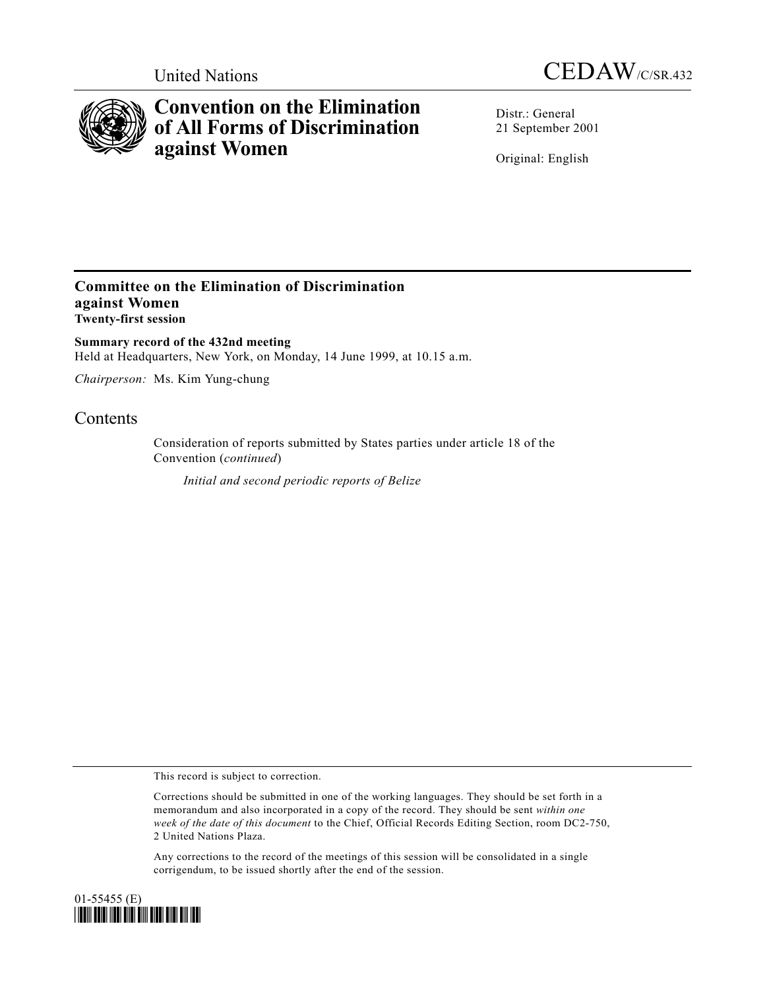



# **Convention on the Elimination of All Forms of Discrimination against Women**

Distr.: General 21 September 2001

Original: English

# **Committee on the Elimination of Discrimination against Women Twenty-first session**

**Summary record of the 432nd meeting** Held at Headquarters, New York, on Monday, 14 June 1999, at 10.15 a.m.

*Chairperson:* Ms. Kim Yung-chung

# Contents

Consideration of reports submitted by States parties under article 18 of the Convention (*continued*)

*Initial and second periodic reports of Belize*

This record is subject to correction.

Any corrections to the record of the meetings of this session will be consolidated in a single corrigendum, to be issued shortly after the end of the session.



Corrections should be submitted in one of the working languages. They should be set forth in a memorandum and also incorporated in a copy of the record. They should be sent *within one week of the date of this document* to the Chief, Official Records Editing Section, room DC2-750, 2 United Nations Plaza.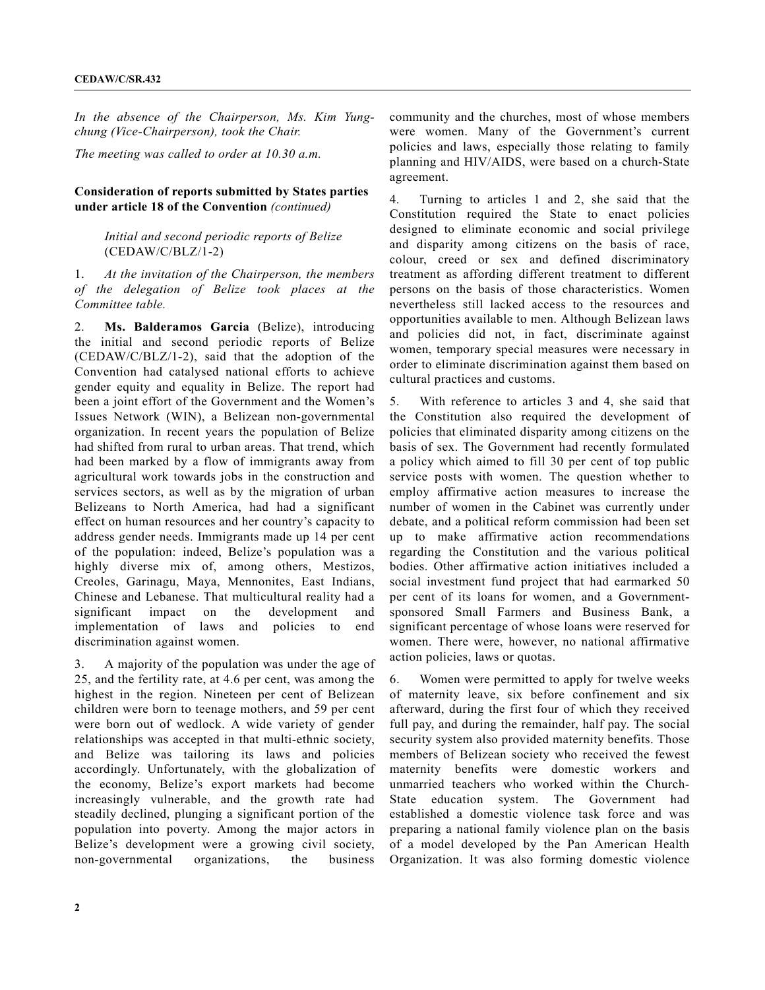*In the absence of the Chairperson, Ms. Kim Yungchung (Vice-Chairperson), took the Chair.*

*The meeting was called to order at 10.30 a.m.*

## **Consideration of reports submitted by States parties under article 18 of the Convention** *(continued)*

#### *Initial and second periodic reports of Belize* (CEDAW/C/BLZ/1-2)

1. *At the invitation of the Chairperson, the members of the delegation of Belize took places at the Committee table.*

2. **Ms. Balderamos Garcia** (Belize), introducing the initial and second periodic reports of Belize (CEDAW/C/BLZ/1-2), said that the adoption of the Convention had catalysed national efforts to achieve gender equity and equality in Belize. The report had been a joint effort of the Government and the Women's Issues Network (WIN), a Belizean non-governmental organization. In recent years the population of Belize had shifted from rural to urban areas. That trend, which had been marked by a flow of immigrants away from agricultural work towards jobs in the construction and services sectors, as well as by the migration of urban Belizeans to North America, had had a significant effect on human resources and her country's capacity to address gender needs. Immigrants made up 14 per cent of the population: indeed, Belize's population was a highly diverse mix of, among others, Mestizos, Creoles, Garinagu, Maya, Mennonites, East Indians, Chinese and Lebanese. That multicultural reality had a significant impact on the development and implementation of laws and policies to end discrimination against women.

3. A majority of the population was under the age of 25, and the fertility rate, at 4.6 per cent, was among the highest in the region. Nineteen per cent of Belizean children were born to teenage mothers, and 59 per cent were born out of wedlock. A wide variety of gender relationships was accepted in that multi-ethnic society, and Belize was tailoring its laws and policies accordingly. Unfortunately, with the globalization of the economy, Belize's export markets had become increasingly vulnerable, and the growth rate had steadily declined, plunging a significant portion of the population into poverty. Among the major actors in Belize's development were a growing civil society, non-governmental organizations, the business

community and the churches, most of whose members were women. Many of the Government's current policies and laws, especially those relating to family planning and HIV/AIDS, were based on a church-State agreement.

4. Turning to articles 1 and 2, she said that the Constitution required the State to enact policies designed to eliminate economic and social privilege and disparity among citizens on the basis of race, colour, creed or sex and defined discriminatory treatment as affording different treatment to different persons on the basis of those characteristics. Women nevertheless still lacked access to the resources and opportunities available to men. Although Belizean laws and policies did not, in fact, discriminate against women, temporary special measures were necessary in order to eliminate discrimination against them based on cultural practices and customs.

5. With reference to articles 3 and 4, she said that the Constitution also required the development of policies that eliminated disparity among citizens on the basis of sex. The Government had recently formulated a policy which aimed to fill 30 per cent of top public service posts with women. The question whether to employ affirmative action measures to increase the number of women in the Cabinet was currently under debate, and a political reform commission had been set up to make affirmative action recommendations regarding the Constitution and the various political bodies. Other affirmative action initiatives included a social investment fund project that had earmarked 50 per cent of its loans for women, and a Governmentsponsored Small Farmers and Business Bank, a significant percentage of whose loans were reserved for women. There were, however, no national affirmative action policies, laws or quotas.

6. Women were permitted to apply for twelve weeks of maternity leave, six before confinement and six afterward, during the first four of which they received full pay, and during the remainder, half pay. The social security system also provided maternity benefits. Those members of Belizean society who received the fewest maternity benefits were domestic workers and unmarried teachers who worked within the Church-State education system. The Government had established a domestic violence task force and was preparing a national family violence plan on the basis of a model developed by the Pan American Health Organization. It was also forming domestic violence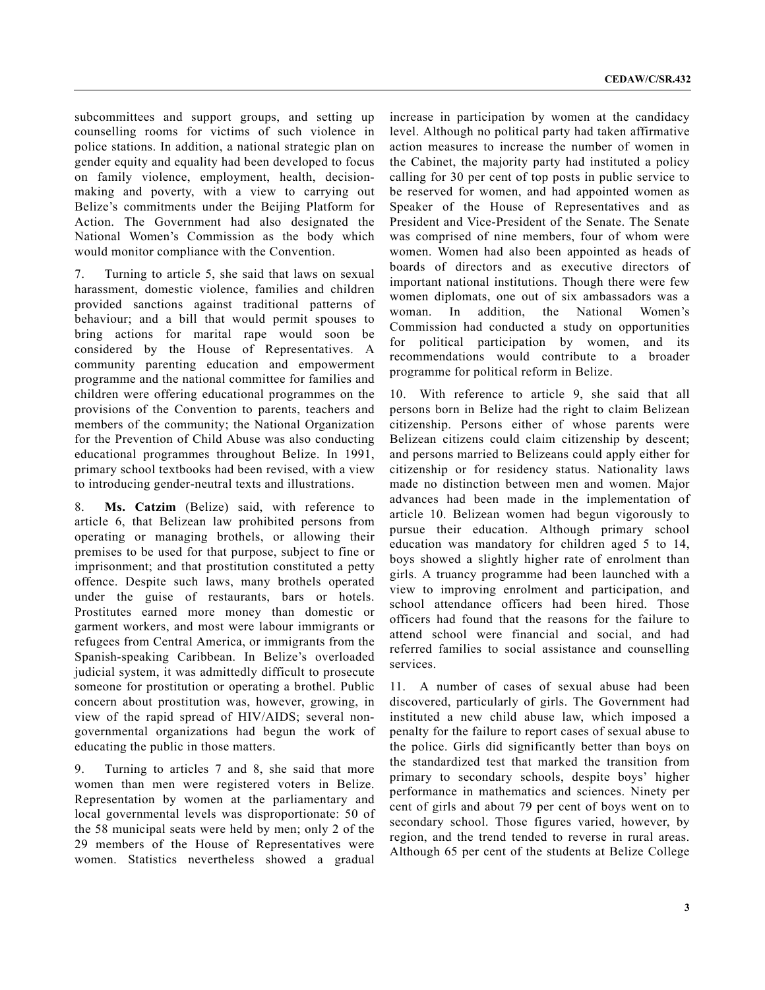subcommittees and support groups, and setting up counselling rooms for victims of such violence in police stations. In addition, a national strategic plan on gender equity and equality had been developed to focus on family violence, employment, health, decisionmaking and poverty, with a view to carrying out Belize's commitments under the Beijing Platform for Action. The Government had also designated the National Women's Commission as the body which would monitor compliance with the Convention.

7. Turning to article 5, she said that laws on sexual harassment, domestic violence, families and children provided sanctions against traditional patterns of behaviour; and a bill that would permit spouses to bring actions for marital rape would soon be considered by the House of Representatives. A community parenting education and empowerment programme and the national committee for families and children were offering educational programmes on the provisions of the Convention to parents, teachers and members of the community; the National Organization for the Prevention of Child Abuse was also conducting educational programmes throughout Belize. In 1991, primary school textbooks had been revised, with a view to introducing gender-neutral texts and illustrations.

8. **Ms. Catzim** (Belize) said, with reference to article 6, that Belizean law prohibited persons from operating or managing brothels, or allowing their premises to be used for that purpose, subject to fine or imprisonment; and that prostitution constituted a petty offence. Despite such laws, many brothels operated under the guise of restaurants, bars or hotels. Prostitutes earned more money than domestic or garment workers, and most were labour immigrants or refugees from Central America, or immigrants from the Spanish-speaking Caribbean. In Belize's overloaded judicial system, it was admittedly difficult to prosecute someone for prostitution or operating a brothel. Public concern about prostitution was, however, growing, in view of the rapid spread of HIV/AIDS; several nongovernmental organizations had begun the work of educating the public in those matters.

9. Turning to articles 7 and 8, she said that more women than men were registered voters in Belize. Representation by women at the parliamentary and local governmental levels was disproportionate: 50 of the 58 municipal seats were held by men; only 2 of the 29 members of the House of Representatives were women. Statistics nevertheless showed a gradual

increase in participation by women at the candidacy level. Although no political party had taken affirmative action measures to increase the number of women in the Cabinet, the majority party had instituted a policy calling for 30 per cent of top posts in public service to be reserved for women, and had appointed women as Speaker of the House of Representatives and as President and Vice-President of the Senate. The Senate was comprised of nine members, four of whom were women. Women had also been appointed as heads of boards of directors and as executive directors of important national institutions. Though there were few women diplomats, one out of six ambassadors was a woman. In addition, the National Women's Commission had conducted a study on opportunities for political participation by women, and its recommendations would contribute to a broader programme for political reform in Belize.

10. With reference to article 9, she said that all persons born in Belize had the right to claim Belizean citizenship. Persons either of whose parents were Belizean citizens could claim citizenship by descent; and persons married to Belizeans could apply either for citizenship or for residency status. Nationality laws made no distinction between men and women. Major advances had been made in the implementation of article 10. Belizean women had begun vigorously to pursue their education. Although primary school education was mandatory for children aged 5 to 14, boys showed a slightly higher rate of enrolment than girls. A truancy programme had been launched with a view to improving enrolment and participation, and school attendance officers had been hired. Those officers had found that the reasons for the failure to attend school were financial and social, and had referred families to social assistance and counselling services.

11. A number of cases of sexual abuse had been discovered, particularly of girls. The Government had instituted a new child abuse law, which imposed a penalty for the failure to report cases of sexual abuse to the police. Girls did significantly better than boys on the standardized test that marked the transition from primary to secondary schools, despite boys' higher performance in mathematics and sciences. Ninety per cent of girls and about 79 per cent of boys went on to secondary school. Those figures varied, however, by region, and the trend tended to reverse in rural areas. Although 65 per cent of the students at Belize College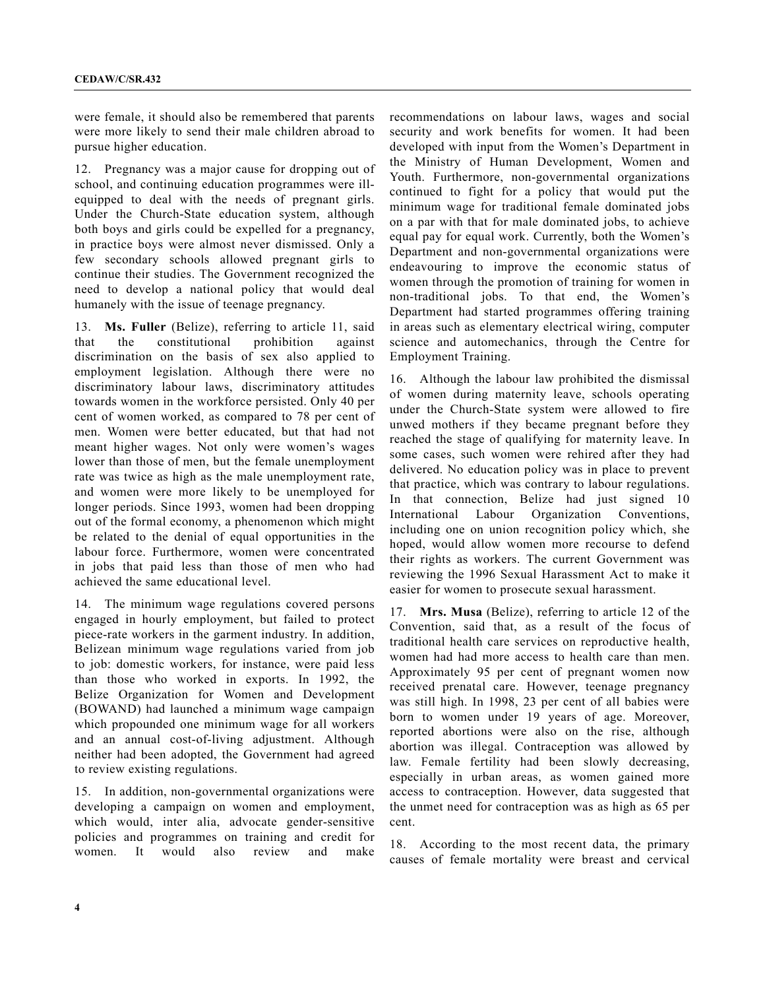were female, it should also be remembered that parents were more likely to send their male children abroad to pursue higher education.

12. Pregnancy was a major cause for dropping out of school, and continuing education programmes were illequipped to deal with the needs of pregnant girls. Under the Church-State education system, although both boys and girls could be expelled for a pregnancy, in practice boys were almost never dismissed. Only a few secondary schools allowed pregnant girls to continue their studies. The Government recognized the need to develop a national policy that would deal humanely with the issue of teenage pregnancy.

13. **Ms. Fuller** (Belize), referring to article 11, said that the constitutional prohibition against discrimination on the basis of sex also applied to employment legislation. Although there were no discriminatory labour laws, discriminatory attitudes towards women in the workforce persisted. Only 40 per cent of women worked, as compared to 78 per cent of men. Women were better educated, but that had not meant higher wages. Not only were women's wages lower than those of men, but the female unemployment rate was twice as high as the male unemployment rate, and women were more likely to be unemployed for longer periods. Since 1993, women had been dropping out of the formal economy, a phenomenon which might be related to the denial of equal opportunities in the labour force. Furthermore, women were concentrated in jobs that paid less than those of men who had achieved the same educational level.

14. The minimum wage regulations covered persons engaged in hourly employment, but failed to protect piece-rate workers in the garment industry. In addition, Belizean minimum wage regulations varied from job to job: domestic workers, for instance, were paid less than those who worked in exports. In 1992, the Belize Organization for Women and Development (BOWAND) had launched a minimum wage campaign which propounded one minimum wage for all workers and an annual cost-of-living adjustment. Although neither had been adopted, the Government had agreed to review existing regulations.

15. In addition, non-governmental organizations were developing a campaign on women and employment, which would, inter alia, advocate gender-sensitive policies and programmes on training and credit for women. It would also review and make recommendations on labour laws, wages and social security and work benefits for women. It had been developed with input from the Women's Department in the Ministry of Human Development, Women and Youth. Furthermore, non-governmental organizations continued to fight for a policy that would put the minimum wage for traditional female dominated jobs on a par with that for male dominated jobs, to achieve equal pay for equal work. Currently, both the Women's Department and non-governmental organizations were endeavouring to improve the economic status of women through the promotion of training for women in non-traditional jobs. To that end, the Women's Department had started programmes offering training in areas such as elementary electrical wiring, computer science and automechanics, through the Centre for Employment Training.

16. Although the labour law prohibited the dismissal of women during maternity leave, schools operating under the Church-State system were allowed to fire unwed mothers if they became pregnant before they reached the stage of qualifying for maternity leave. In some cases, such women were rehired after they had delivered. No education policy was in place to prevent that practice, which was contrary to labour regulations. In that connection, Belize had just signed 10 International Labour Organization Conventions, including one on union recognition policy which, she hoped, would allow women more recourse to defend their rights as workers. The current Government was reviewing the 1996 Sexual Harassment Act to make it easier for women to prosecute sexual harassment.

17. **Mrs. Musa** (Belize), referring to article 12 of the Convention, said that, as a result of the focus of traditional health care services on reproductive health, women had had more access to health care than men. Approximately 95 per cent of pregnant women now received prenatal care. However, teenage pregnancy was still high. In 1998, 23 per cent of all babies were born to women under 19 years of age. Moreover, reported abortions were also on the rise, although abortion was illegal. Contraception was allowed by law. Female fertility had been slowly decreasing, especially in urban areas, as women gained more access to contraception. However, data suggested that the unmet need for contraception was as high as 65 per cent.

18. According to the most recent data, the primary causes of female mortality were breast and cervical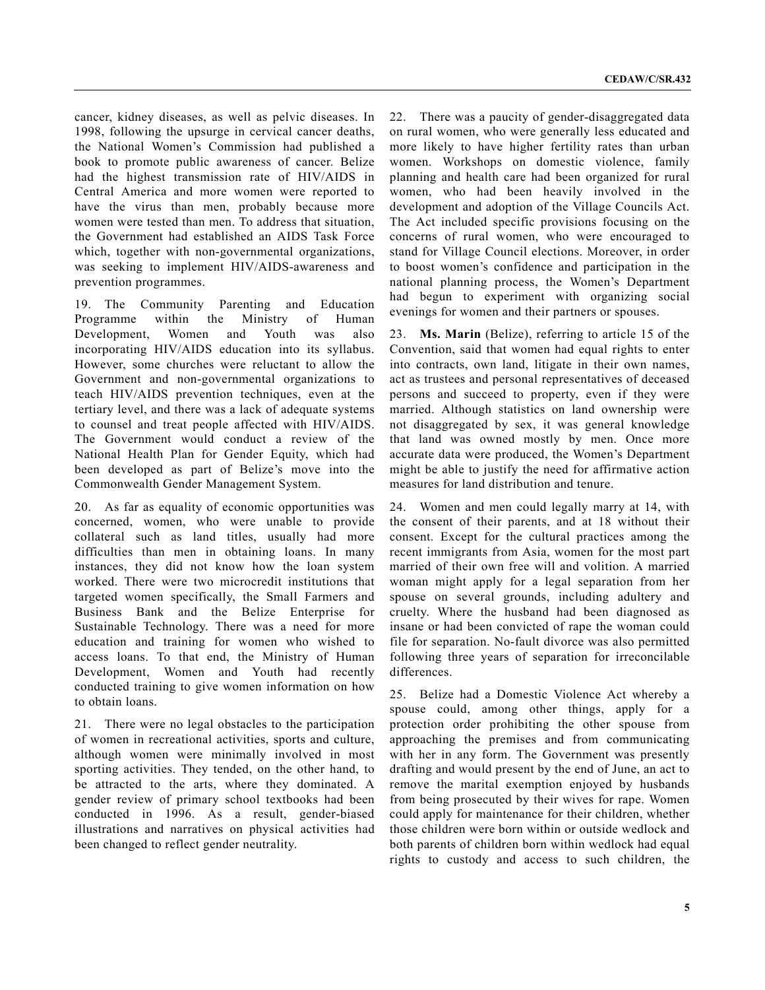cancer, kidney diseases, as well as pelvic diseases. In 1998, following the upsurge in cervical cancer deaths, the National Women's Commission had published a book to promote public awareness of cancer. Belize had the highest transmission rate of HIV/AIDS in Central America and more women were reported to have the virus than men, probably because more women were tested than men. To address that situation, the Government had established an AIDS Task Force which, together with non-governmental organizations, was seeking to implement HIV/AIDS-awareness and prevention programmes.

19. The Community Parenting and Education Programme within the Ministry of Human Development, Women and Youth was also incorporating HIV/AIDS education into its syllabus. However, some churches were reluctant to allow the Government and non-governmental organizations to teach HIV/AIDS prevention techniques, even at the tertiary level, and there was a lack of adequate systems to counsel and treat people affected with HIV/AIDS. The Government would conduct a review of the National Health Plan for Gender Equity, which had been developed as part of Belize's move into the Commonwealth Gender Management System.

20. As far as equality of economic opportunities was concerned, women, who were unable to provide collateral such as land titles, usually had more difficulties than men in obtaining loans. In many instances, they did not know how the loan system worked. There were two microcredit institutions that targeted women specifically, the Small Farmers and Business Bank and the Belize Enterprise for Sustainable Technology. There was a need for more education and training for women who wished to access loans. To that end, the Ministry of Human Development, Women and Youth had recently conducted training to give women information on how to obtain loans.

21. There were no legal obstacles to the participation of women in recreational activities, sports and culture, although women were minimally involved in most sporting activities. They tended, on the other hand, to be attracted to the arts, where they dominated. A gender review of primary school textbooks had been conducted in 1996. As a result, gender-biased illustrations and narratives on physical activities had been changed to reflect gender neutrality.

22. There was a paucity of gender-disaggregated data on rural women, who were generally less educated and more likely to have higher fertility rates than urban women. Workshops on domestic violence, family planning and health care had been organized for rural women, who had been heavily involved in the development and adoption of the Village Councils Act. The Act included specific provisions focusing on the concerns of rural women, who were encouraged to stand for Village Council elections. Moreover, in order to boost women's confidence and participation in the national planning process, the Women's Department had begun to experiment with organizing social evenings for women and their partners or spouses.

23. **Ms. Marin** (Belize), referring to article 15 of the Convention, said that women had equal rights to enter into contracts, own land, litigate in their own names, act as trustees and personal representatives of deceased persons and succeed to property, even if they were married. Although statistics on land ownership were not disaggregated by sex, it was general knowledge that land was owned mostly by men. Once more accurate data were produced, the Women's Department might be able to justify the need for affirmative action measures for land distribution and tenure.

24. Women and men could legally marry at 14, with the consent of their parents, and at 18 without their consent. Except for the cultural practices among the recent immigrants from Asia, women for the most part married of their own free will and volition. A married woman might apply for a legal separation from her spouse on several grounds, including adultery and cruelty. Where the husband had been diagnosed as insane or had been convicted of rape the woman could file for separation. No-fault divorce was also permitted following three years of separation for irreconcilable differences.

25. Belize had a Domestic Violence Act whereby a spouse could, among other things, apply for a protection order prohibiting the other spouse from approaching the premises and from communicating with her in any form. The Government was presently drafting and would present by the end of June, an act to remove the marital exemption enjoyed by husbands from being prosecuted by their wives for rape. Women could apply for maintenance for their children, whether those children were born within or outside wedlock and both parents of children born within wedlock had equal rights to custody and access to such children, the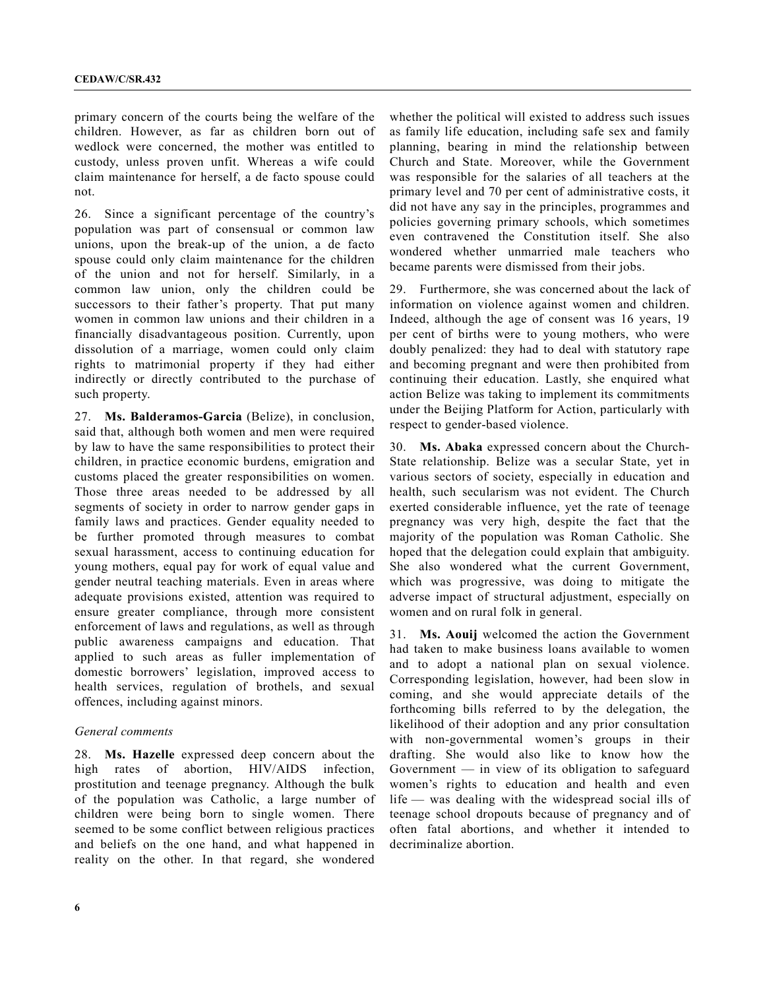primary concern of the courts being the welfare of the children. However, as far as children born out of wedlock were concerned, the mother was entitled to custody, unless proven unfit. Whereas a wife could claim maintenance for herself, a de facto spouse could not.

26. Since a significant percentage of the country's population was part of consensual or common law unions, upon the break-up of the union, a de facto spouse could only claim maintenance for the children of the union and not for herself. Similarly, in a common law union, only the children could be successors to their father's property. That put many women in common law unions and their children in a financially disadvantageous position. Currently, upon dissolution of a marriage, women could only claim rights to matrimonial property if they had either indirectly or directly contributed to the purchase of such property.

27. **Ms. Balderamos-Garcia** (Belize), in conclusion, said that, although both women and men were required by law to have the same responsibilities to protect their children, in practice economic burdens, emigration and customs placed the greater responsibilities on women. Those three areas needed to be addressed by all segments of society in order to narrow gender gaps in family laws and practices. Gender equality needed to be further promoted through measures to combat sexual harassment, access to continuing education for young mothers, equal pay for work of equal value and gender neutral teaching materials. Even in areas where adequate provisions existed, attention was required to ensure greater compliance, through more consistent enforcement of laws and regulations, as well as through public awareness campaigns and education. That applied to such areas as fuller implementation of domestic borrowers' legislation, improved access to health services, regulation of brothels, and sexual offences, including against minors.

#### *General comments*

28. **Ms. Hazelle** expressed deep concern about the high rates of abortion, HIV/AIDS infection, prostitution and teenage pregnancy. Although the bulk of the population was Catholic, a large number of children were being born to single women. There seemed to be some conflict between religious practices and beliefs on the one hand, and what happened in reality on the other. In that regard, she wondered

whether the political will existed to address such issues as family life education, including safe sex and family planning, bearing in mind the relationship between Church and State. Moreover, while the Government was responsible for the salaries of all teachers at the primary level and 70 per cent of administrative costs, it did not have any say in the principles, programmes and policies governing primary schools, which sometimes even contravened the Constitution itself. She also wondered whether unmarried male teachers who became parents were dismissed from their jobs.

29. Furthermore, she was concerned about the lack of information on violence against women and children. Indeed, although the age of consent was 16 years, 19 per cent of births were to young mothers, who were doubly penalized: they had to deal with statutory rape and becoming pregnant and were then prohibited from continuing their education. Lastly, she enquired what action Belize was taking to implement its commitments under the Beijing Platform for Action, particularly with respect to gender-based violence.

30. **Ms. Abaka** expressed concern about the Church-State relationship. Belize was a secular State, yet in various sectors of society, especially in education and health, such secularism was not evident. The Church exerted considerable influence, yet the rate of teenage pregnancy was very high, despite the fact that the majority of the population was Roman Catholic. She hoped that the delegation could explain that ambiguity. She also wondered what the current Government, which was progressive, was doing to mitigate the adverse impact of structural adjustment, especially on women and on rural folk in general.

31. **Ms. Aouij** welcomed the action the Government had taken to make business loans available to women and to adopt a national plan on sexual violence. Corresponding legislation, however, had been slow in coming, and she would appreciate details of the forthcoming bills referred to by the delegation, the likelihood of their adoption and any prior consultation with non-governmental women's groups in their drafting. She would also like to know how the Government  $-$  in view of its obligation to safeguard women's rights to education and health and even life — was dealing with the widespread social ills of teenage school dropouts because of pregnancy and of often fatal abortions, and whether it intended to decriminalize abortion.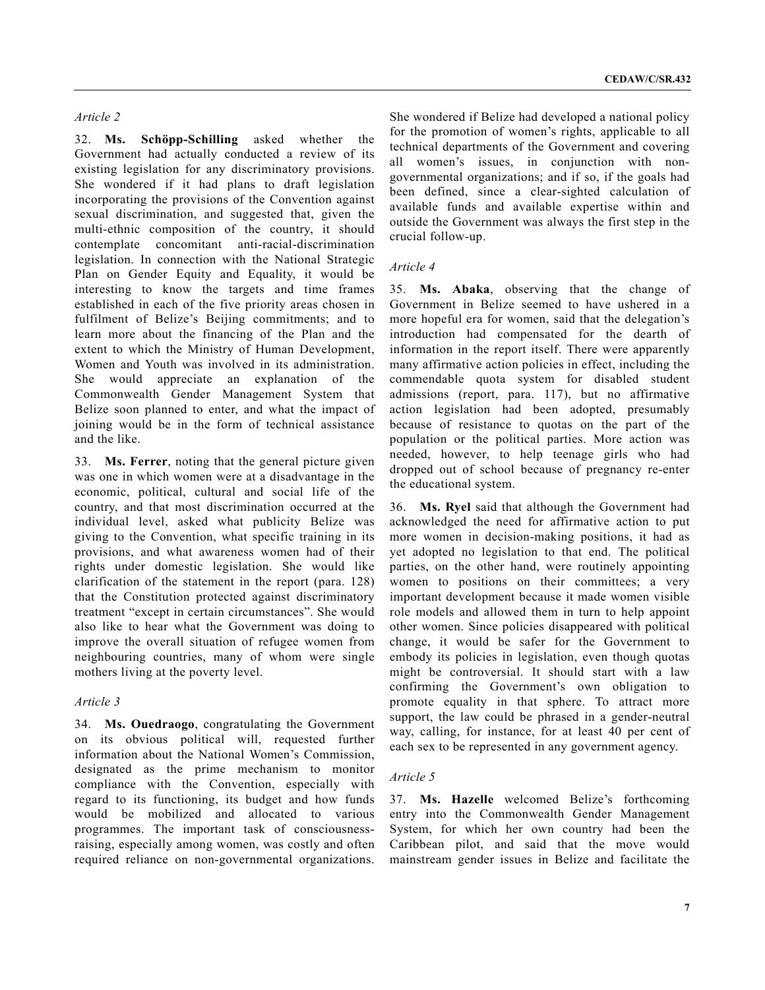#### *Article 2*

32. **Ms. Schöpp-Schilling** asked whether the Government had actually conducted a review of its existing legislation for any discriminatory provisions. She wondered if it had plans to draft legislation incorporating the provisions of the Convention against sexual discrimination, and suggested that, given the multi-ethnic composition of the country, it should contemplate concomitant anti-racial-discrimination legislation. In connection with the National Strategic Plan on Gender Equity and Equality, it would be interesting to know the targets and time frames established in each of the five priority areas chosen in fulfilment of Belize's Beijing commitments; and to learn more about the financing of the Plan and the extent to which the Ministry of Human Development, Women and Youth was involved in its administration. She would appreciate an explanation of the Commonwealth Gender Management System that Belize soon planned to enter, and what the impact of joining would be in the form of technical assistance and the like.

33. **Ms. Ferrer**, noting that the general picture given was one in which women were at a disadvantage in the economic, political, cultural and social life of the country, and that most discrimination occurred at the individual level, asked what publicity Belize was giving to the Convention, what specific training in its provisions, and what awareness women had of their rights under domestic legislation. She would like clarification of the statement in the report (para. 128) that the Constitution protected against discriminatory treatment "except in certain circumstances". She would also like to hear what the Government was doing to improve the overall situation of refugee women from neighbouring countries, many of whom were single mothers living at the poverty level.

## *Article 3*

34. **Ms. Ouedraogo**, congratulating the Government on its obvious political will, requested further information about the National Women's Commission, designated as the prime mechanism to monitor compliance with the Convention, especially with regard to its functioning, its budget and how funds would be mobilized and allocated to various programmes. The important task of consciousnessraising, especially among women, was costly and often required reliance on non-governmental organizations.

She wondered if Belize had developed a national policy for the promotion of women's rights, applicable to all technical departments of the Government and covering all women's issues, in conjunction with nongovernmental organizations; and if so, if the goals had been defined, since a clear-sighted calculation of available funds and available expertise within and outside the Government was always the first step in the crucial follow-up.

# *Article 4*

35. **Ms. Abaka**, observing that the change of Government in Belize seemed to have ushered in a more hopeful era for women, said that the delegation's introduction had compensated for the dearth of information in the report itself. There were apparently many affirmative action policies in effect, including the commendable quota system for disabled student admissions (report, para. 117), but no affirmative action legislation had been adopted, presumably because of resistance to quotas on the part of the population or the political parties. More action was needed, however, to help teenage girls who had dropped out of school because of pregnancy re-enter the educational system.

36. **Ms. Ryel** said that although the Government had acknowledged the need for affirmative action to put more women in decision-making positions, it had as yet adopted no legislation to that end. The political parties, on the other hand, were routinely appointing women to positions on their committees; a very important development because it made women visible role models and allowed them in turn to help appoint other women. Since policies disappeared with political change, it would be safer for the Government to embody its policies in legislation, even though quotas might be controversial. It should start with a law confirming the Government's own obligation to promote equality in that sphere. To attract more support, the law could be phrased in a gender-neutral way, calling, for instance, for at least 40 per cent of each sex to be represented in any government agency.

# *Article 5*

37. **Ms. Hazelle** welcomed Belize's forthcoming entry into the Commonwealth Gender Management System, for which her own country had been the Caribbean pilot, and said that the move would mainstream gender issues in Belize and facilitate the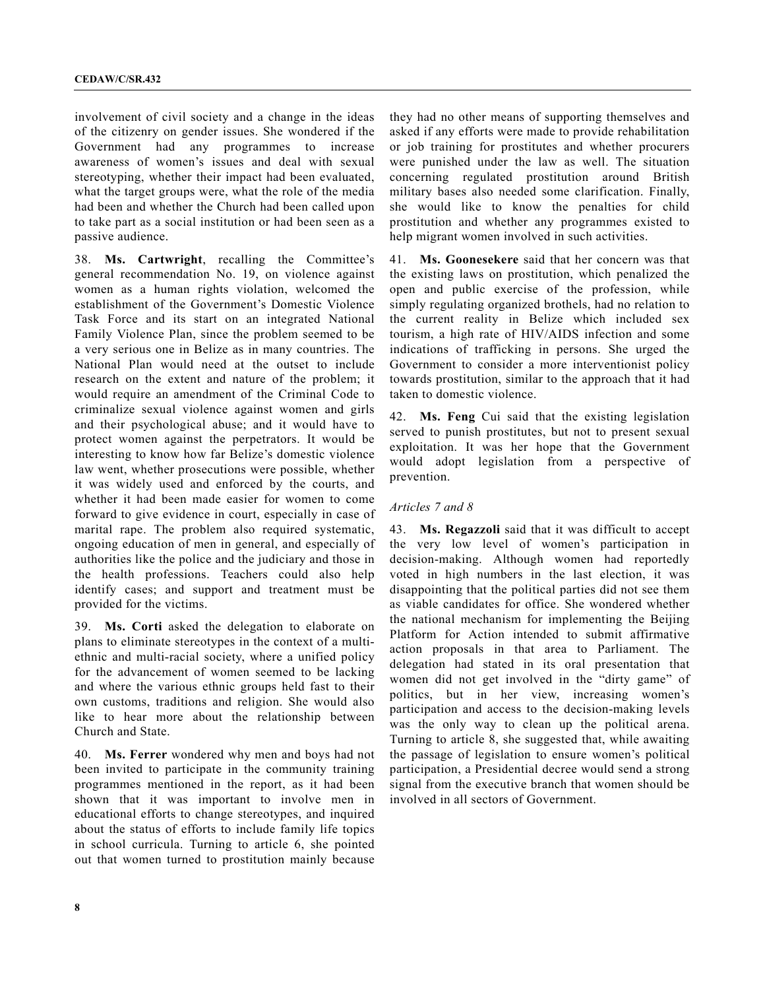involvement of civil society and a change in the ideas of the citizenry on gender issues. She wondered if the Government had any programmes to increase awareness of women's issues and deal with sexual stereotyping, whether their impact had been evaluated, what the target groups were, what the role of the media had been and whether the Church had been called upon to take part as a social institution or had been seen as a passive audience.

38. **Ms. Cartwright**, recalling the Committee's general recommendation No. 19, on violence against women as a human rights violation, welcomed the establishment of the Government's Domestic Violence Task Force and its start on an integrated National Family Violence Plan, since the problem seemed to be a very serious one in Belize as in many countries. The National Plan would need at the outset to include research on the extent and nature of the problem; it would require an amendment of the Criminal Code to criminalize sexual violence against women and girls and their psychological abuse; and it would have to protect women against the perpetrators. It would be interesting to know how far Belize's domestic violence law went, whether prosecutions were possible, whether it was widely used and enforced by the courts, and whether it had been made easier for women to come forward to give evidence in court, especially in case of marital rape. The problem also required systematic, ongoing education of men in general, and especially of authorities like the police and the judiciary and those in the health professions. Teachers could also help identify cases; and support and treatment must be provided for the victims.

39. **Ms. Corti** asked the delegation to elaborate on plans to eliminate stereotypes in the context of a multiethnic and multi-racial society, where a unified policy for the advancement of women seemed to be lacking and where the various ethnic groups held fast to their own customs, traditions and religion. She would also like to hear more about the relationship between Church and State.

40. **Ms. Ferrer** wondered why men and boys had not been invited to participate in the community training programmes mentioned in the report, as it had been shown that it was important to involve men in educational efforts to change stereotypes, and inquired about the status of efforts to include family life topics in school curricula. Turning to article 6, she pointed out that women turned to prostitution mainly because they had no other means of supporting themselves and asked if any efforts were made to provide rehabilitation or job training for prostitutes and whether procurers were punished under the law as well. The situation concerning regulated prostitution around British military bases also needed some clarification. Finally, she would like to know the penalties for child prostitution and whether any programmes existed to help migrant women involved in such activities.

41. **Ms. Goonesekere** said that her concern was that the existing laws on prostitution, which penalized the open and public exercise of the profession, while simply regulating organized brothels, had no relation to the current reality in Belize which included sex tourism, a high rate of HIV/AIDS infection and some indications of trafficking in persons. She urged the Government to consider a more interventionist policy towards prostitution, similar to the approach that it had taken to domestic violence.

42. **Ms. Feng** Cui said that the existing legislation served to punish prostitutes, but not to present sexual exploitation. It was her hope that the Government would adopt legislation from a perspective of prevention.

#### *Articles 7 and 8*

43. **Ms. Regazzoli** said that it was difficult to accept the very low level of women's participation in decision-making. Although women had reportedly voted in high numbers in the last election, it was disappointing that the political parties did not see them as viable candidates for office. She wondered whether the national mechanism for implementing the Beijing Platform for Action intended to submit affirmative action proposals in that area to Parliament. The delegation had stated in its oral presentation that women did not get involved in the "dirty game" of politics, but in her view, increasing women's participation and access to the decision-making levels was the only way to clean up the political arena. Turning to article 8, she suggested that, while awaiting the passage of legislation to ensure women's political participation, a Presidential decree would send a strong signal from the executive branch that women should be involved in all sectors of Government.